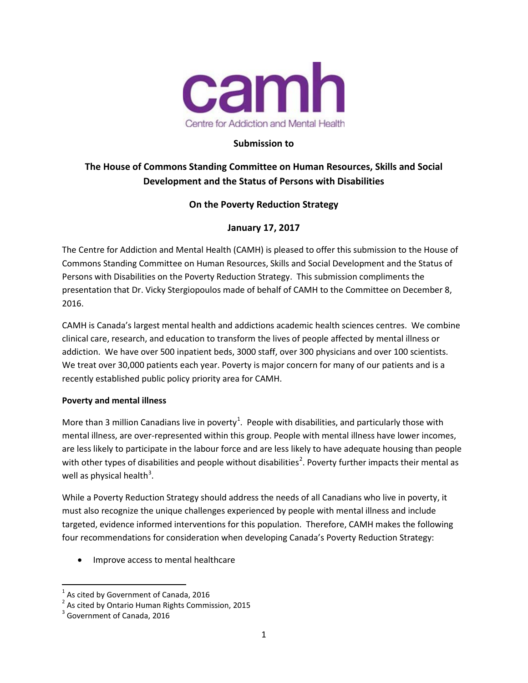

## **Submission to**

# **The House of Commons Standing Committee on Human Resources, Skills and Social Development and the Status of Persons with Disabilities**

## **On the Poverty Reduction Strategy**

## **January 17, 2017**

The Centre for Addiction and Mental Health (CAMH) is pleased to offer this submission to the House of Commons Standing Committee on Human Resources, Skills and Social Development and the Status of Persons with Disabilities on the Poverty Reduction Strategy. This submission compliments the presentation that Dr. Vicky Stergiopoulos made of behalf of CAMH to the Committee on December 8, 2016.

CAMH is Canada's largest mental health and addictions academic health sciences centres. We combine clinical care, research, and education to transform the lives of people affected by mental illness or addiction. We have over 500 inpatient beds, 3000 staff, over 300 physicians and over 100 scientists. We treat over 30,000 patients each year. Poverty is major concern for many of our patients and is a recently established public policy priority area for CAMH.

### **Poverty and mental illness**

More than 3 million Canadians live in poverty<sup>[1](#page-0-0)</sup>. People with disabilities, and particularly those with mental illness, are over-represented within this group. People with mental illness have lower incomes, are less likely to participate in the labour force and are less likely to have adequate housing than people with other types of disabilities and people without disabilities<sup>[2](#page-0-1)</sup>. Poverty further impacts their mental as well as physical health<sup>[3](#page-0-2)</sup>.

While a Poverty Reduction Strategy should address the needs of all Canadians who live in poverty, it must also recognize the unique challenges experienced by people with mental illness and include targeted, evidence informed interventions for this population. Therefore, CAMH makes the following four recommendations for consideration when developing Canada's Poverty Reduction Strategy:

• Improve access to mental healthcare

 $1$  As cited by Government of Canada, 2016

<span id="page-0-1"></span><span id="page-0-0"></span><sup>2</sup> As cited by Ontario Human Rights Commission, 2015

<span id="page-0-2"></span> $3$  Government of Canada, 2016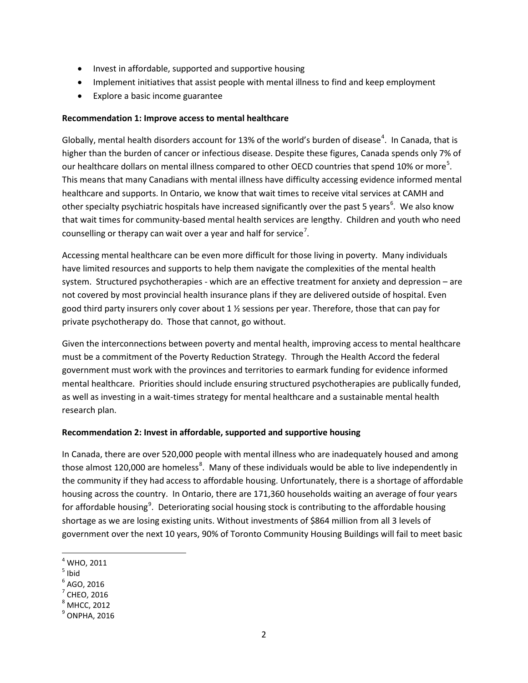- Invest in affordable, supported and supportive housing
- Implement initiatives that assist people with mental illness to find and keep employment
- Explore a basic income guarantee

### **Recommendation 1: Improve access to mental healthcare**

Globally, mental health disorders account for 13% of the world's burden of disease<sup>[4](#page-1-0)</sup>. In Canada, that is higher than the burden of cancer or infectious disease. Despite these figures, Canada spends only 7% of our healthcare dollars on mental illness compared to other OECD countries that spend 10% or more<sup>[5](#page-1-1)</sup>. This means that many Canadians with mental illness have difficulty accessing evidence informed mental healthcare and supports. In Ontario, we know that wait times to receive vital services at CAMH and other specialty psychiatric hospitals have increased significantly over the past 5 years<sup>[6](#page-1-2)</sup>. We also know that wait times for community-based mental health services are lengthy. Children and youth who need counselling or therapy can wait over a year and half for service<sup>[7](#page-1-3)</sup>.

Accessing mental healthcare can be even more difficult for those living in poverty. Many individuals have limited resources and supports to help them navigate the complexities of the mental health system. Structured psychotherapies - which are an effective treatment for anxiety and depression – are not covered by most provincial health insurance plans if they are delivered outside of hospital. Even good third party insurers only cover about 1 ½ sessions per year. Therefore, those that can pay for private psychotherapy do. Those that cannot, go without.

Given the interconnections between poverty and mental health, improving access to mental healthcare must be a commitment of the Poverty Reduction Strategy. Through the Health Accord the federal government must work with the provinces and territories to earmark funding for evidence informed mental healthcare. Priorities should include ensuring structured psychotherapies are publically funded, as well as investing in a wait-times strategy for mental healthcare and a sustainable mental health research plan.

### **Recommendation 2: Invest in affordable, supported and supportive housing**

In Canada, there are over 520,000 people with mental illness who are inadequately housed and among those almost 120,000 are homeless<sup>[8](#page-1-4)</sup>. Many of these individuals would be able to live independently in the community if they had access to affordable housing. Unfortunately, there is a shortage of affordable housing across the country. In Ontario, there are 171,360 households waiting an average of four years for affordable housing<sup>[9](#page-1-5)</sup>. Deteriorating social housing stock is contributing to the affordable housing shortage as we are losing existing units. Without investments of \$864 million from all 3 levels of government over the next 10 years, 90% of Toronto Community Housing Buildings will fail to meet basic

 $<sup>4</sup>$  WHO, 2011</sup>

<span id="page-1-1"></span><span id="page-1-0"></span> $<sup>5</sup>$  Ibid</sup>

<span id="page-1-2"></span> $<sup>6</sup>$  AGO, 2016<br> $<sup>7</sup>$  CHEO, 2016</sup></sup>

<span id="page-1-3"></span>

<span id="page-1-4"></span> $<sup>8</sup>$  MHCC, 2012</sup>

<span id="page-1-5"></span> $^9$  ONPHA, 2016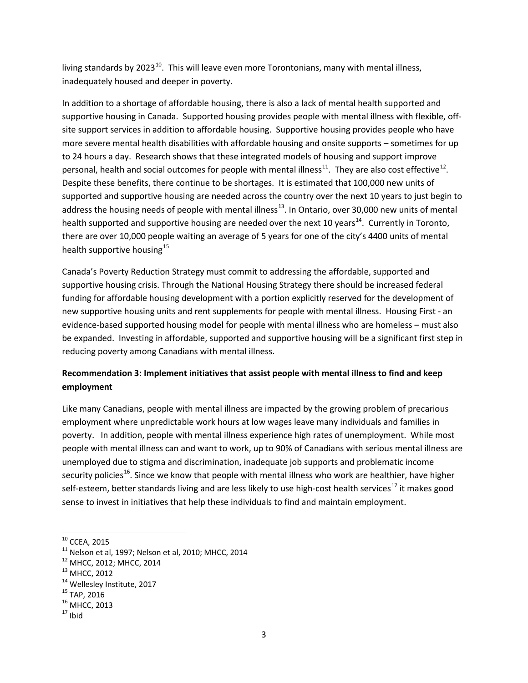living standards by 2023 $^{10}$  $^{10}$  $^{10}$ . This will leave even more Torontonians, many with mental illness, inadequately housed and deeper in poverty.

In addition to a shortage of affordable housing, there is also a lack of mental health supported and supportive housing in Canada. Supported housing provides people with mental illness with flexible, offsite support services in addition to affordable housing. Supportive housing provides people who have more severe mental health disabilities with affordable housing and onsite supports – sometimes for up to 24 hours a day. Research shows that these integrated models of housing and support improve personal, health and social outcomes for people with mental illness<sup>11</sup>. They are also cost effective<sup>12</sup>. Despite these benefits, there continue to be shortages. It is estimated that 100,000 new units of supported and supportive housing are needed across the country over the next 10 years to just begin to address the housing needs of people with mental illness<sup>13</sup>. In Ontario, over 30,000 new units of mental health supported and supportive housing are needed over the next 10 years<sup>14</sup>. Currently in Toronto, there are over 10,000 people waiting an average of 5 years for one of the city's 4400 units of mental health supportive housing $^{15}$  $^{15}$  $^{15}$ 

Canada's Poverty Reduction Strategy must commit to addressing the affordable, supported and supportive housing crisis. Through the National Housing Strategy there should be increased federal funding for affordable housing development with a portion explicitly reserved for the development of new supportive housing units and rent supplements for people with mental illness. Housing First - an evidence-based supported housing model for people with mental illness who are homeless – must also be expanded. Investing in affordable, supported and supportive housing will be a significant first step in reducing poverty among Canadians with mental illness.

# **Recommendation 3: Implement initiatives that assist people with mental illness to find and keep employment**

Like many Canadians, people with mental illness are impacted by the growing problem of precarious employment where unpredictable work hours at low wages leave many individuals and families in poverty. In addition, people with mental illness experience high rates of unemployment. While most people with mental illness can and want to work, up to 90% of Canadians with serious mental illness are unemployed due to stigma and discrimination, inadequate job supports and problematic income security policies<sup>16</sup>. Since we know that people with mental illness who work are healthier, have higher self-esteem, better standards living and are less likely to use high-cost health services<sup>[17](#page-2-7)</sup> it makes good sense to invest in initiatives that help these individuals to find and maintain employment.

<span id="page-2-1"></span><span id="page-2-0"></span><sup>&</sup>lt;sup>10</sup> CCEA, 2015<br><sup>11</sup> Nelson et al, 1997; Nelson et al, 2010; MHCC, 2014<br><sup>12</sup> MHCC, 2012; MHCC, 2014<br><sup>13</sup> MHCC, 2012<br><sup>14</sup> Wellesley Institute, 2017<br><sup>15</sup> TAP, 2016<br><sup>16</sup> MHCC, 2013<br><sup>17</sup> Ibid

<span id="page-2-2"></span>

<span id="page-2-3"></span>

<span id="page-2-4"></span>

<span id="page-2-5"></span>

<span id="page-2-7"></span><span id="page-2-6"></span>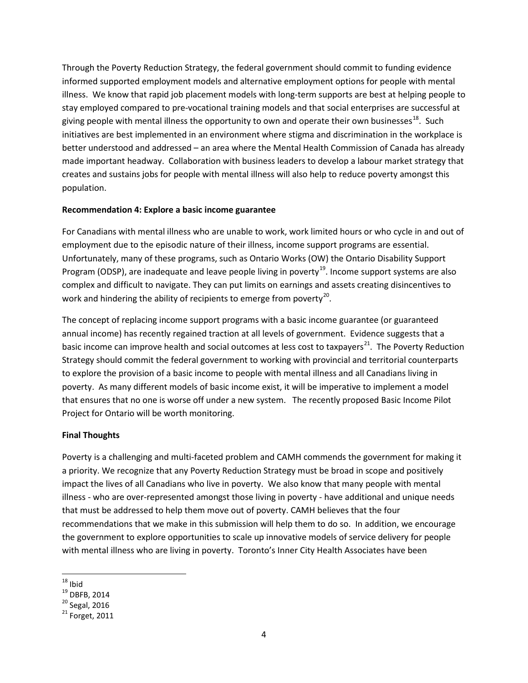Through the Poverty Reduction Strategy, the federal government should commit to funding evidence informed supported employment models and alternative employment options for people with mental illness. We know that rapid job placement models with long-term supports are best at helping people to stay employed compared to pre-vocational training models and that social enterprises are successful at giving people with mental illness the opportunity to own and operate their own businesses<sup>18</sup>. Such initiatives are best implemented in an environment where stigma and discrimination in the workplace is better understood and addressed – an area where the Mental Health Commission of Canada has already made important headway. Collaboration with business leaders to develop a labour market strategy that creates and sustains jobs for people with mental illness will also help to reduce poverty amongst this population.

### **Recommendation 4: Explore a basic income guarantee**

For Canadians with mental illness who are unable to work, work limited hours or who cycle in and out of employment due to the episodic nature of their illness, income support programs are essential. Unfortunately, many of these programs, such as Ontario Works (OW) the Ontario Disability Support Program (ODSP), are inadequate and leave people living in poverty<sup>19</sup>. Income support systems are also complex and difficult to navigate. They can put limits on earnings and assets creating disincentives to work and hindering the ability of recipients to emerge from poverty<sup>20</sup>.

The concept of replacing income support programs with a basic income guarantee (or guaranteed annual income) has recently regained traction at all levels of government. Evidence suggests that a basic income can improve health and social outcomes at less cost to taxpayers<sup>[21](#page-3-3)</sup>. The Poverty Reduction Strategy should commit the federal government to working with provincial and territorial counterparts to explore the provision of a basic income to people with mental illness and all Canadians living in poverty. As many different models of basic income exist, it will be imperative to implement a model that ensures that no one is worse off under a new system. The recently proposed Basic Income Pilot Project for Ontario will be worth monitoring.

### **Final Thoughts**

Poverty is a challenging and multi-faceted problem and CAMH commends the government for making it a priority. We recognize that any Poverty Reduction Strategy must be broad in scope and positively impact the lives of all Canadians who live in poverty. We also know that many people with mental illness - who are over-represented amongst those living in poverty - have additional and unique needs that must be addressed to help them move out of poverty. CAMH believes that the four recommendations that we make in this submission will help them to do so. In addition, we encourage the government to explore opportunities to scale up innovative models of service delivery for people with mental illness who are living in poverty. Toronto's Inner City Health Associates have been

<span id="page-3-1"></span><span id="page-3-0"></span><sup>&</sup>lt;sup>18</sup> Ibid<br><sup>19</sup> DBFB, 2014<br><sup>20</sup> Segal, 2016<br><sup>21</sup> Forget, 2011

<span id="page-3-3"></span><span id="page-3-2"></span>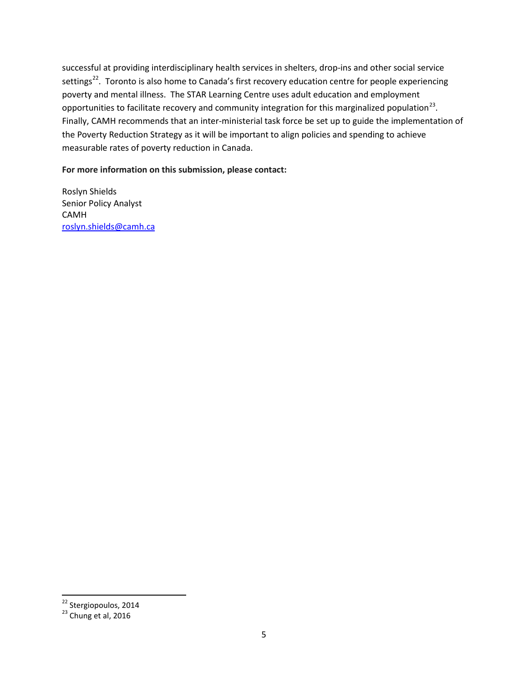successful at providing interdisciplinary health services in shelters, drop-ins and other social service settings<sup>[22](#page-4-0)</sup>. Toronto is also home to Canada's first recovery education centre for people experiencing poverty and mental illness. The STAR Learning Centre uses adult education and employment opportunities to facilitate recovery and community integration for this marginalized population<sup>[23](#page-4-1)</sup>. Finally, CAMH recommends that an inter-ministerial task force be set up to guide the implementation of the Poverty Reduction Strategy as it will be important to align policies and spending to achieve measurable rates of poverty reduction in Canada.

#### **For more information on this submission, please contact:**

Roslyn Shields Senior Policy Analyst CAMH [roslyn.shields@camh.ca](mailto:roslyn.shields@camh.ca)

<span id="page-4-1"></span><span id="page-4-0"></span> $^{22}$  Stergiopoulos, 2014<br> $^{23}$  Chung et al, 2016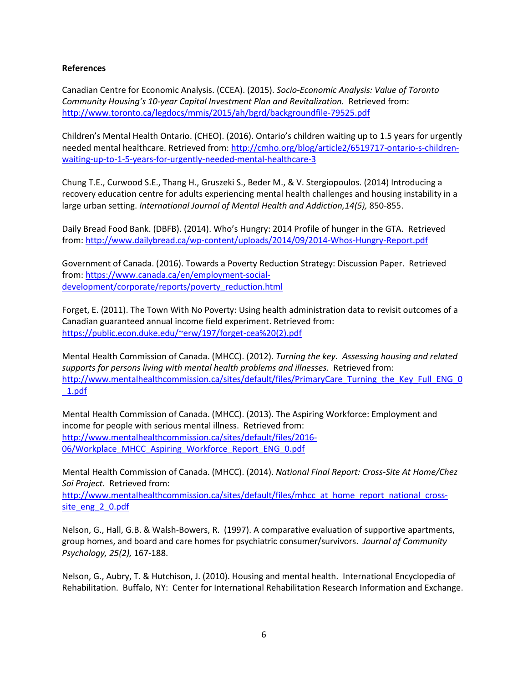#### **References**

Canadian Centre for Economic Analysis. (CCEA). (2015). *Socio-Economic Analysis: Value of Toronto Community Housing's 10-year Capital Investment Plan and Revitalization.* Retrieved from: <http://www.toronto.ca/legdocs/mmis/2015/ah/bgrd/backgroundfile-79525.pdf>

Children's Mental Health Ontario. (CHEO). (2016). Ontario's children waiting up to 1.5 years for urgently needed mental healthcare. Retrieved from: [http://cmho.org/blog/article2/6519717-ontario-s-children](http://cmho.org/blog/article2/6519717-ontario-s-children-waiting-up-to-1-5-years-for-urgently-needed-mental-healthcare-3)[waiting-up-to-1-5-years-for-urgently-needed-mental-healthcare-3](http://cmho.org/blog/article2/6519717-ontario-s-children-waiting-up-to-1-5-years-for-urgently-needed-mental-healthcare-3)

Chung T.E., Curwood S.E., Thang H., Gruszeki S., Beder M., & V. Stergiopoulos. (2014) Introducing a recovery education centre for adults experiencing mental health challenges and housing instability in a large urban setting. *International Journal of Mental Health and Addiction,14(5),* 850-855.

Daily Bread Food Bank. (DBFB). (2014). Who's Hungry: 2014 Profile of hunger in the GTA. Retrieved from:<http://www.dailybread.ca/wp-content/uploads/2014/09/2014-Whos-Hungry-Report.pdf>

Government of Canada. (2016). Towards a Poverty Reduction Strategy: Discussion Paper. Retrieved from: [https://www.canada.ca/en/employment-social](https://www.canada.ca/en/employment-social-development/corporate/reports/poverty_reduction.html)[development/corporate/reports/poverty\\_reduction.html](https://www.canada.ca/en/employment-social-development/corporate/reports/poverty_reduction.html)

Forget, E. (2011). The Town With No Poverty: Using health administration data to revisit outcomes of a Canadian guaranteed annual income field experiment. Retrieved from: [https://public.econ.duke.edu/~erw/197/forget-cea%20\(2\).pdf](https://public.econ.duke.edu/%7Eerw/197/forget-cea%20(2).pdf)

Mental Health Commission of Canada. (MHCC). (2012). *Turning the key. Assessing housing and related supports for persons living with mental health problems and illnesses.* Retrieved from: [http://www.mentalhealthcommission.ca/sites/default/files/PrimaryCare\\_Turning\\_the\\_Key\\_Full\\_ENG\\_0](http://www.mentalhealthcommission.ca/sites/default/files/PrimaryCare_Turning_the_Key_Full_ENG_0_1.pdf) [\\_1.pdf](http://www.mentalhealthcommission.ca/sites/default/files/PrimaryCare_Turning_the_Key_Full_ENG_0_1.pdf)

Mental Health Commission of Canada. (MHCC). (2013). The Aspiring Workforce: Employment and income for people with serious mental illness. Retrieved from: [http://www.mentalhealthcommission.ca/sites/default/files/2016-](http://www.mentalhealthcommission.ca/sites/default/files/2016-06/Workplace_MHCC_Aspiring_Workforce_Report_ENG_0.pdf) [06/Workplace\\_MHCC\\_Aspiring\\_Workforce\\_Report\\_ENG\\_0.pdf](http://www.mentalhealthcommission.ca/sites/default/files/2016-06/Workplace_MHCC_Aspiring_Workforce_Report_ENG_0.pdf)

Mental Health Commission of Canada. (MHCC). (2014). *National Final Report: Cross-Site At Home/Chez Soi Project.* Retrieved from:

[http://www.mentalhealthcommission.ca/sites/default/files/mhcc\\_at\\_home\\_report\\_national\\_cross](http://www.mentalhealthcommission.ca/sites/default/files/mhcc_at_home_report_national_cross-site_eng_2_0.pdf)[site\\_eng\\_2\\_0.pdf](http://www.mentalhealthcommission.ca/sites/default/files/mhcc_at_home_report_national_cross-site_eng_2_0.pdf)

Nelson, G., Hall, G.B. & Walsh-Bowers, R. (1997). A comparative evaluation of supportive apartments, group homes, and board and care homes for psychiatric consumer/survivors. *Journal of Community Psychology, 25(2),* 167-188.

Nelson, G., Aubry, T. & Hutchison, J. (2010). Housing and mental health. International Encyclopedia of Rehabilitation. Buffalo, NY: Center for International Rehabilitation Research Information and Exchange.